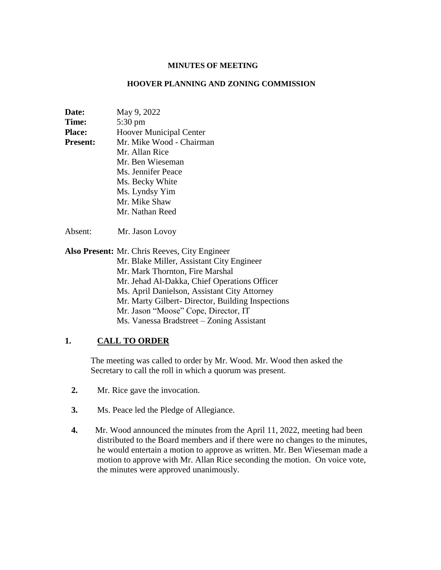#### **MINUTES OF MEETING**

#### **HOOVER PLANNING AND ZONING COMMISSION**

| Date:           | May 9, 2022                    |
|-----------------|--------------------------------|
| Time:           | 5:30 pm                        |
| <b>Place:</b>   | <b>Hoover Municipal Center</b> |
| <b>Present:</b> | Mr. Mike Wood - Chairman       |
|                 | Mr. Allan Rice                 |
|                 | Mr. Ben Wieseman               |
|                 | Ms. Jennifer Peace             |
|                 | Ms. Becky White                |
|                 | Ms. Lyndsy Yim                 |
|                 | Mr. Mike Shaw                  |
|                 | Mr. Nathan Reed                |
|                 |                                |

Absent: Mr. Jason Lovoy

**Also Present:** Mr. Chris Reeves, City Engineer Mr. Blake Miller, Assistant City Engineer Mr. Mark Thornton, Fire Marshal Mr. Jehad Al-Dakka, Chief Operations Officer Ms. April Danielson, Assistant City Attorney Mr. Marty Gilbert- Director, Building Inspections Mr. Jason "Moose" Cope, Director, IT Ms. Vanessa Bradstreet – Zoning Assistant

## **1. CALL TO ORDER**

The meeting was called to order by Mr. Wood. Mr. Wood then asked the Secretary to call the roll in which a quorum was present.

- **2.** Mr. Rice gave the invocation.
- **3.** Ms. Peace led the Pledge of Allegiance.
- **4.** Mr. Wood announced the minutes from the April 11, 2022, meeting had been distributed to the Board members and if there were no changes to the minutes, he would entertain a motion to approve as written. Mr. Ben Wieseman made a motion to approve with Mr. Allan Rice seconding the motion. On voice vote, the minutes were approved unanimously.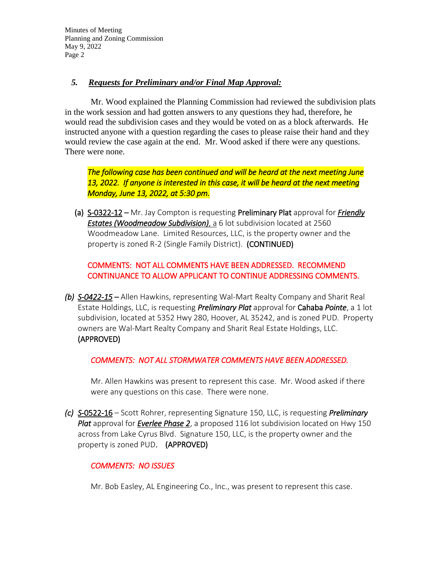### *5. Requests for Preliminary and/or Final Map Approval:*

 Mr. Wood explained the Planning Commission had reviewed the subdivision plats in the work session and had gotten answers to any questions they had, therefore, he would read the subdivision cases and they would be voted on as a block afterwards. He instructed anyone with a question regarding the cases to please raise their hand and they would review the case again at the end. Mr. Wood asked if there were any questions. There were none.

*The following case has been continued and will be heard at the next meeting June 13, 2022. If anyone is interested in this case, it will be heard at the next meeting Monday, June 13, 2022, at 5:30 pm.*

(a) S-0322-12 – Mr. Jay Compton is requesting Preliminary Plat approval for *Friendly Estates (Woodmeadow Subdivision)*, a 6 lot subdivision located at 2560 Woodmeadow Lane. Limited Resources, LLC, is the property owner and the property is zoned R-2 (Single Family District). (CONTINUED)

# COMMENTS: NOT ALL COMMENTS HAVE BEEN ADDRESSED. RECOMMEND CONTINUANCE TO ALLOW APPLICANT TO CONTINUE ADDRESSING COMMENTS.

*(b) S-0422-15* – Allen Hawkins, representing Wal-Mart Realty Company and Sharit Real Estate Holdings, LLC, is requesting *Preliminary Plat* approval for Cahaba *Pointe*, a 1 lot subdivision, located at 5352 Hwy 280, Hoover, AL 35242, and is zoned PUD. Property owners are Wal-Mart Realty Company and Sharit Real Estate Holdings, LLC. (APPROVED)

*COMMENTS: NOT ALL STORMWATER COMMENTS HAVE BEEN ADDRESSED.* 

Mr. Allen Hawkins was present to represent this case. Mr. Wood asked if there were any questions on this case. There were none.

*(c) S*-0522-16 – Scott Rohrer, representing Signature 150, LLC, is requesting *Preliminary Plat* approval for *Everlee Phase 2*, a proposed 116 lot subdivision located on Hwy 150 across from Lake Cyrus Blvd. Signature 150, LLC, is the property owner and the property is zoned PUD. (APPROVED)

## *COMMENTS: NO ISSUES*

Mr. Bob Easley, AL Engineering Co., Inc., was present to represent this case.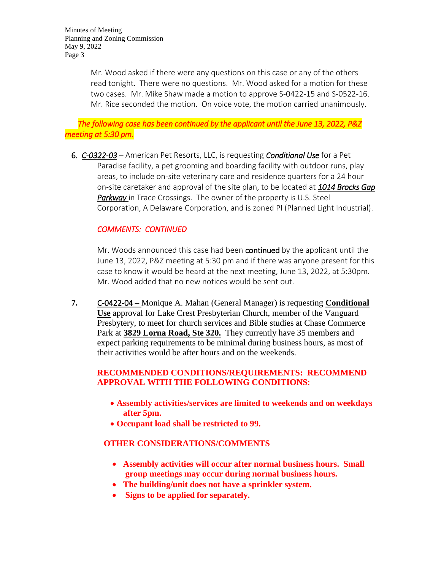> Mr. Wood asked if there were any questions on this case or any of the others read tonight. There were no questions. Mr. Wood asked for a motion for these two cases. Mr. Mike Shaw made a motion to approve S-0422-15 and S-0522-16. Mr. Rice seconded the motion. On voice vote, the motion carried unanimously.

 *The following case has been continued by the applicant until the June 13, 2022, P&Z meeting at 5:30 pm.* 

6. *C-0322-03* – American Pet Resorts, LLC, is requesting *Conditional Use* for a Pet Paradise facility, a pet grooming and boarding facility with outdoor runs, play areas, to include on-site veterinary care and residence quarters for a 24 hour on-site caretaker and approval of the site plan, to be located at *1014 Brocks Gap Parkway* in Trace Crossings. The owner of the property is U.S. Steel Corporation, A Delaware Corporation, and is zoned PI (Planned Light Industrial).

## *COMMENTS: CONTINUED*

Mr. Woods announced this case had been **continued** by the applicant until the June 13, 2022, P&Z meeting at 5:30 pm and if there was anyone present for this case to know it would be heard at the next meeting, June 13, 2022, at 5:30pm. Mr. Wood added that no new notices would be sent out.

**7.** C-0422-04 **–** Monique A. Mahan (General Manager) is requesting **Conditional Use** approval for Lake Crest Presbyterian Church, member of the Vanguard Presbytery, to meet for church services and Bible studies at Chase Commerce Park at **3829 Lorna Road, Ste 320.** They currently have 35 members and expect parking requirements to be minimal during business hours, as most of their activities would be after hours and on the weekends.

### **RECOMMENDED CONDITIONS/REQUIREMENTS: RECOMMEND APPROVAL WITH THE FOLLOWING CONDITIONS**:

- **Assembly activities/services are limited to weekends and on weekdays after 5pm.**
- **Occupant load shall be restricted to 99.**

#### **OTHER CONSIDERATIONS/COMMENTS**

- **Assembly activities will occur after normal business hours. Small group meetings may occur during normal business hours.**
- **The building/unit does not have a sprinkler system.**
- Signs to be applied for separately.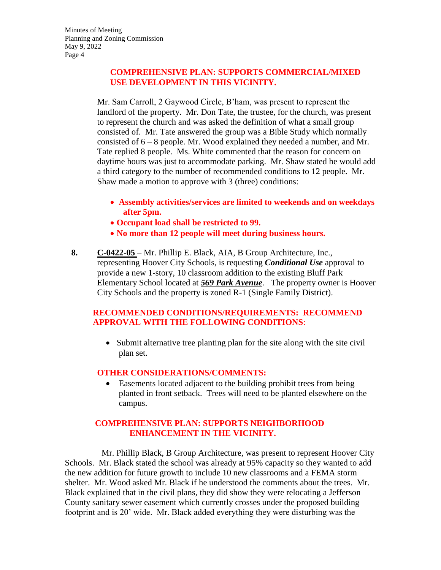## **COMPREHENSIVE PLAN: SUPPORTS COMMERCIAL/MIXED USE DEVELOPMENT IN THIS VICINITY.**

Mr. Sam Carroll, 2 Gaywood Circle, B'ham, was present to represent the landlord of the property. Mr. Don Tate, the trustee, for the church, was present to represent the church and was asked the definition of what a small group consisted of. Mr. Tate answered the group was a Bible Study which normally consisted of  $6 - 8$  people. Mr. Wood explained they needed a number, and Mr. Tate replied 8 people. Ms. White commented that the reason for concern on daytime hours was just to accommodate parking. Mr. Shaw stated he would add a third category to the number of recommended conditions to 12 people. Mr. Shaw made a motion to approve with 3 (three) conditions:

- **Assembly activities/services are limited to weekends and on weekdays after 5pm.**
- **Occupant load shall be restricted to 99.**
- **No more than 12 people will meet during business hours.**
- **8. C-0422-05**  Mr. Phillip E. Black, AIA, B Group Architecture, Inc., representing Hoover City Schools, is requesting *Conditional Use* approval to provide a new 1-story, 10 classroom addition to the existing Bluff Park Elementary School located at *569 Park Avenue*. The property owner is Hoover City Schools and the property is zoned R-1 (Single Family District).

### **RECOMMENDED CONDITIONS/REQUIREMENTS: RECOMMEND APPROVAL WITH THE FOLLOWING CONDITIONS**:

 Submit alternative tree planting plan for the site along with the site civil plan set.

#### **OTHER CONSIDERATIONS/COMMENTS:**

 Easements located adjacent to the building prohibit trees from being planted in front setback. Trees will need to be planted elsewhere on the campus.

# **COMPREHENSIVE PLAN: SUPPORTS NEIGHBORHOOD ENHANCEMENT IN THE VICINITY.**

 Mr. Phillip Black, B Group Architecture, was present to represent Hoover City Schools. Mr. Black stated the school was already at 95% capacity so they wanted to add the new addition for future growth to include 10 new classrooms and a FEMA storm shelter. Mr. Wood asked Mr. Black if he understood the comments about the trees. Mr. Black explained that in the civil plans, they did show they were relocating a Jefferson County sanitary sewer easement which currently crosses under the proposed building footprint and is 20' wide. Mr. Black added everything they were disturbing was the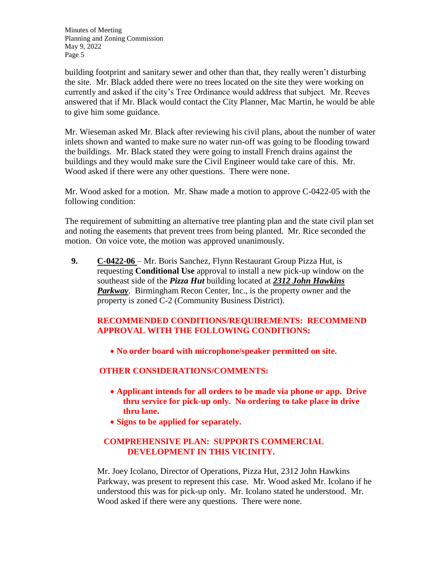building footprint and sanitary sewer and other than that, they really weren't disturbing the site. Mr. Black added there were no trees located on the site they were working on currently and asked if the city's Tree Ordinance would address that subject. Mr. Reeves answered that if Mr. Black would contact the City Planner, Mac Martin, he would be able to give him some guidance.

Mr. Wieseman asked Mr. Black after reviewing his civil plans, about the number of water inlets shown and wanted to make sure no water run-off was going to be flooding toward the buildings. Mr. Black stated they were going to install French drains against the buildings and they would make sure the Civil Engineer would take care of this. Mr. Wood asked if there were any other questions. There were none.

Mr. Wood asked for a motion. Mr. Shaw made a motion to approve C-0422-05 with the following condition:

The requirement of submitting an alternative tree planting plan and the state civil plan set and noting the easements that prevent trees from being planted. Mr. Rice seconded the motion. On voice vote, the motion was approved unanimously.

**9. C-0422-06** – Mr. Boris Sanchez, Flynn Restaurant Group Pizza Hut, is requesting **Conditional Use** approval to install a new pick-up window on the southeast side of the *Pizza Hut* building located at *2312 John Hawkins Parkway*. Birmingham Recon Center, Inc., is the property owner and the property is zoned C-2 (Community Business District).

# **RECOMMENDED CONDITIONS/REQUIREMENTS: RECOMMEND APPROVAL WITH THE FOLLOWING CONDITIONS:**

**No order board with microphone/speaker permitted on site.**

## **OTHER CONSIDERATIONS/COMMENTS:**

- **Applicant intends for all orders to be made via phone or app. Drive thru service for pick-up only. No ordering to take place in drive thru lane.**
- **Signs to be applied for separately.**

### **COMPREHENSIVE PLAN: SUPPORTS COMMERCIAL DEVELOPMENT IN THIS VICINITY.**

Mr. Joey Icolano, Director of Operations, Pizza Hut, 2312 John Hawkins Parkway, was present to represent this case. Mr. Wood asked Mr. Icolano if he understood this was for pick-up only. Mr. Icolano stated he understood. Mr. Wood asked if there were any questions. There were none.